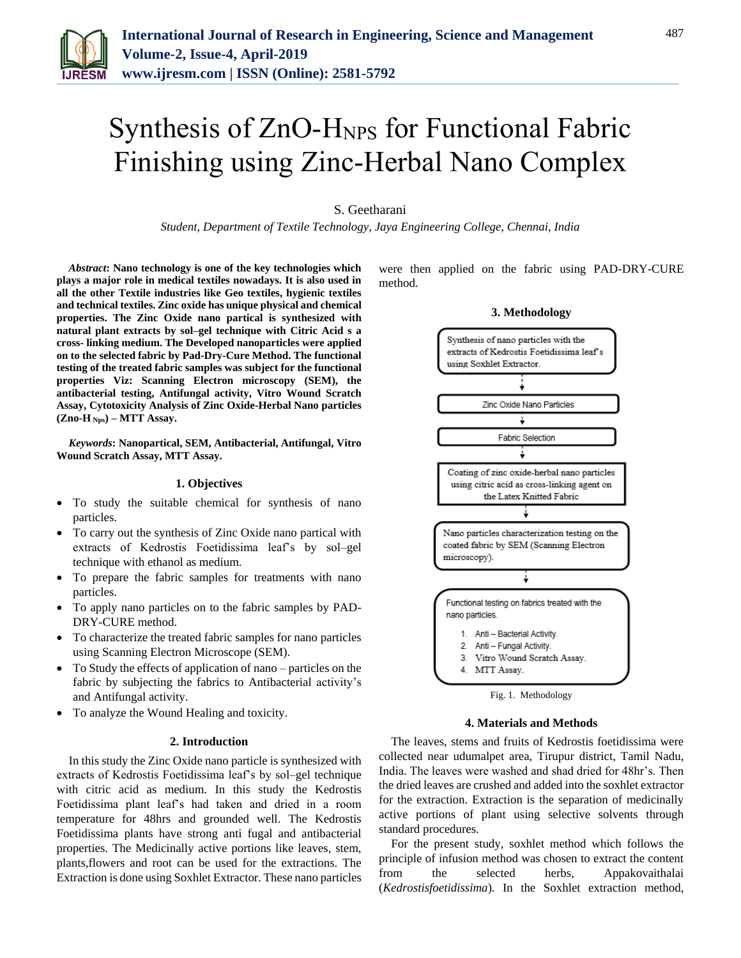

# Synthesis of ZnO-HNPS for Functional Fabric Finishing using Zinc-Herbal Nano Complex

## S. Geetharani

*Student, Department of Textile Technology, Jaya Engineering College, Chennai, India*

*Abstract***: Nano technology is one of the key technologies which plays a major role in medical textiles nowadays. It is also used in all the other Textile industries like Geo textiles, hygienic textiles and technical textiles. Zinc oxide has unique physical and chemical properties. The Zinc Oxide nano partical is synthesized with natural plant extracts by sol–gel technique with Citric Acid s a cross- linking medium. The Developed nanoparticles were applied on to the selected fabric by Pad-Dry-Cure Method. The functional testing of the treated fabric samples was subject for the functional properties Viz: Scanning Electron microscopy (SEM), the antibacterial testing, Antifungal activity, Vitro Wound Scratch Assay, Cytotoxicity Analysis of Zinc Oxide-Herbal Nano particles (Zno-H Nps) – MTT Assay.**

*Keywords***: Nanopartical, SEM, Antibacterial, Antifungal, Vitro Wound Scratch Assay, MTT Assay.**

## **1. Objectives**

- To study the suitable chemical for synthesis of nano particles.
- To carry out the synthesis of Zinc Oxide nano partical with extracts of Kedrostis Foetidissima leaf's by sol–gel technique with ethanol as medium.
- To prepare the fabric samples for treatments with nano particles.
- To apply nano particles on to the fabric samples by PAD-DRY-CURE method.
- To characterize the treated fabric samples for nano particles using Scanning Electron Microscope (SEM).
- To Study the effects of application of nano particles on the fabric by subjecting the fabrics to Antibacterial activity's and Antifungal activity.
- To analyze the Wound Healing and toxicity.

#### **2. Introduction**

In this study the Zinc Oxide nano particle is synthesized with extracts of Kedrostis Foetidissima leaf's by sol–gel technique with citric acid as medium. In this study the Kedrostis Foetidissima plant leaf's had taken and dried in a room temperature for 48hrs and grounded well. The Kedrostis Foetidissima plants have strong anti fugal and antibacterial properties. The Medicinally active portions like leaves, stem, plants,flowers and root can be used for the extractions. The Extraction is done using Soxhlet Extractor. These nano particles

were then applied on the fabric using PAD-DRY-CURE method.

### **3. Methodology**



Fig. 1. Methodology

#### **4. Materials and Methods**

The leaves, stems and fruits of Kedrostis foetidissima were collected near udumalpet area, Tirupur district, Tamil Nadu, India. The leaves were washed and shad dried for 48hr's. Then the dried leaves are crushed and added into the soxhlet extractor for the extraction. Extraction is the separation of medicinally active portions of plant using selective solvents through standard procedures.

For the present study, soxhlet method which follows the principle of infusion method was chosen to extract the content from the selected herbs, Appakovaithalai (*Kedrostisfoetidissima*)*.* In the Soxhlet extraction method,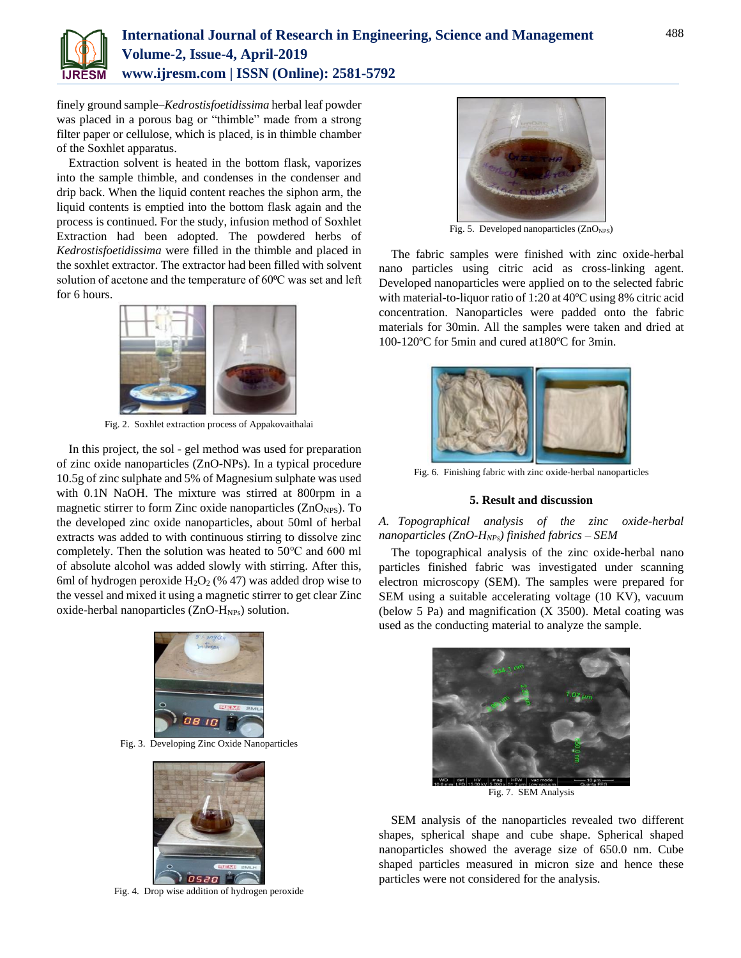

finely ground sample–*Kedrostisfoetidissima* herbal leaf powder was placed in a porous bag or "thimble" made from a strong filter paper or cellulose, which is placed, is in thimble chamber of the Soxhlet apparatus.

Extraction solvent is heated in the bottom flask, vaporizes into the sample thimble, and condenses in the condenser and drip back. When the liquid content reaches the siphon arm, the liquid contents is emptied into the bottom flask again and the process is continued. For the study, infusion method of Soxhlet Extraction had been adopted. The powdered herbs of *Kedrostisfoetidissima* were filled in the thimble and placed in the soxhlet extractor. The extractor had been filled with solvent solution of acetone and the temperature of 60<sup>o</sup>C was set and left for 6 hours.



Fig. 2. Soxhlet extraction process of Appakovaithalai

In this project, the sol - gel method was used for preparation of zinc oxide nanoparticles (ZnO-NPs). In a typical procedure 10.5g of zinc sulphate and 5% of Magnesium sulphate was used with 0.1N NaOH. The mixture was stirred at 800rpm in a magnetic stirrer to form Zinc oxide nanoparticles  $(ZnO<sub>NPS</sub>)$ . To the developed zinc oxide nanoparticles, about 50ml of herbal extracts was added to with continuous stirring to dissolve zinc completely. Then the solution was heated to 50℃ and 600 ml of absolute alcohol was added slowly with stirring. After this, 6ml of hydrogen peroxide  $H_2O_2$  (% 47) was added drop wise to the vessel and mixed it using a magnetic stirrer to get clear Zinc oxide-herbal nanoparticles (ZnO-H<sub>NPs</sub>) solution.



Fig. 3. Developing Zinc Oxide Nanoparticles



Fig. 4. Drop wise addition of hydrogen peroxide



Fig. 5. Developed nanoparticles  $(ZnO_{NPS})$ 

The fabric samples were finished with zinc oxide-herbal nano particles using citric acid as cross-linking agent. Developed nanoparticles were applied on to the selected fabric with material-to-liquor ratio of 1:20 at 40ºC using 8% citric acid concentration. Nanoparticles were padded onto the fabric materials for 30min. All the samples were taken and dried at 100-120ºC for 5min and cured at180ºC for 3min.



Fig. 6. Finishing fabric with zinc oxide-herbal nanoparticles

#### **5. Result and discussion**

## *A. Topographical analysis of the zinc oxide-herbal nanoparticles (ZnO-HNPs) finished fabrics – SEM*

The topographical analysis of the zinc oxide-herbal nano particles finished fabric was investigated under scanning electron microscopy (SEM). The samples were prepared for SEM using a suitable accelerating voltage (10 KV), vacuum (below 5 Pa) and magnification (X 3500). Metal coating was used as the conducting material to analyze the sample.



Fig. 7. SEM Analysis

SEM analysis of the nanoparticles revealed two different shapes, spherical shape and cube shape. Spherical shaped nanoparticles showed the average size of 650.0 nm. Cube shaped particles measured in micron size and hence these particles were not considered for the analysis.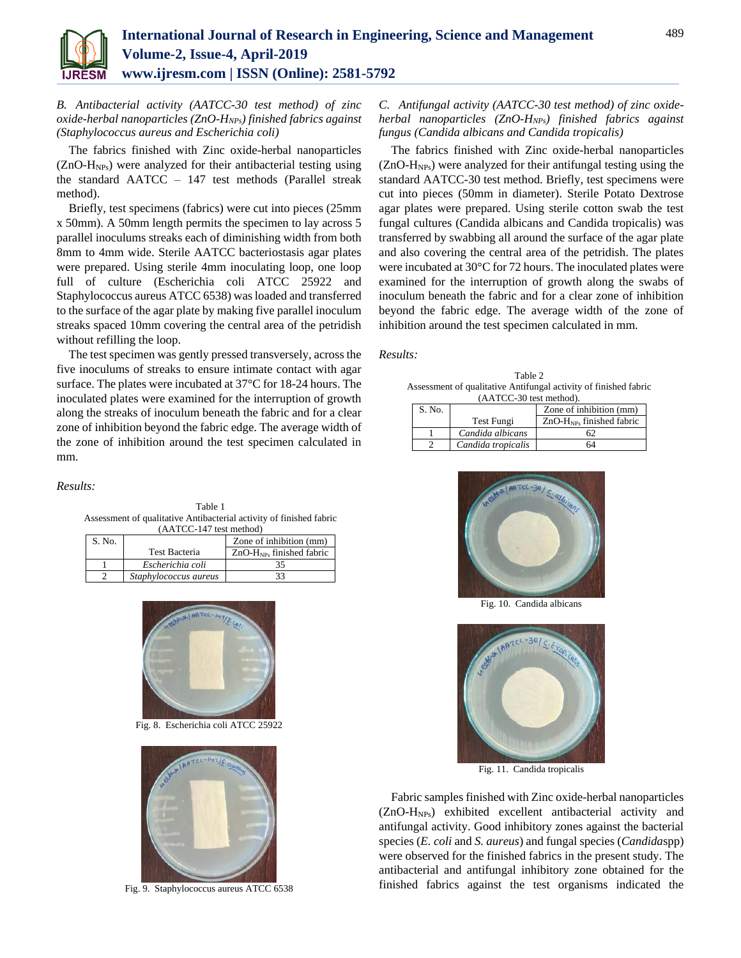

*B. Antibacterial activity (AATCC-30 test method) of zinc oxide-herbal nanoparticles (ZnO-HNPs) finished fabrics against (Staphylococcus aureus and Escherichia coli)*

The fabrics finished with Zinc oxide-herbal nanoparticles  $(ZnO-H<sub>NPs</sub>)$  were analyzed for their antibacterial testing using the standard AATCC – 147 test methods (Parallel streak method).

Briefly, test specimens (fabrics) were cut into pieces (25mm x 50mm). A 50mm length permits the specimen to lay across 5 parallel inoculums streaks each of diminishing width from both 8mm to 4mm wide. Sterile AATCC bacteriostasis agar plates were prepared. Using sterile 4mm inoculating loop, one loop full of culture (Escherichia coli ATCC 25922 and Staphylococcus aureus ATCC 6538) was loaded and transferred to the surface of the agar plate by making five parallel inoculum streaks spaced 10mm covering the central area of the petridish without refilling the loop.

The test specimen was gently pressed transversely, across the five inoculums of streaks to ensure intimate contact with agar surface. The plates were incubated at 37°C for 18-24 hours. The inoculated plates were examined for the interruption of growth along the streaks of inoculum beneath the fabric and for a clear zone of inhibition beyond the fabric edge. The average width of the zone of inhibition around the test specimen calculated in mm.

#### *Results:*

Table 1 Assessment of qualitative Antibacterial activity of finished fabric (AATCC-147 test method)

| S. No. |                       | Zone of inhibition (mm)    |  |
|--------|-----------------------|----------------------------|--|
|        | Test Bacteria         | $ZnO-HNPs$ finished fabric |  |
|        | Escherichia coli      |                            |  |
|        | Staphylococcus aureus |                            |  |



Fig. 8. Escherichia coli ATCC 25922



Fig. 9. Staphylococcus aureus ATCC 6538

## *C. Antifungal activity (AATCC-30 test method) of zinc oxideherbal nanoparticles (ZnO-HNPs) finished fabrics against fungus (Candida albicans and Candida tropicalis)*

The fabrics finished with Zinc oxide-herbal nanoparticles  $(ZnO-H<sub>NPs</sub>)$  were analyzed for their antifungal testing using the standard AATCC-30 test method. Briefly, test specimens were cut into pieces (50mm in diameter). Sterile Potato Dextrose agar plates were prepared. Using sterile cotton swab the test fungal cultures (Candida albicans and Candida tropicalis) was transferred by swabbing all around the surface of the agar plate and also covering the central area of the petridish. The plates were incubated at 30°C for 72 hours. The inoculated plates were examined for the interruption of growth along the swabs of inoculum beneath the fabric and for a clear zone of inhibition beyond the fabric edge. The average width of the zone of inhibition around the test specimen calculated in mm.

#### *Results:*

Table 2 Assessment of qualitative Antifungal activity of finished fabric (AATCC-30 test method).

| (AATCC-90 test method). |                    |                            |  |  |  |  |
|-------------------------|--------------------|----------------------------|--|--|--|--|
| S. No.                  |                    | Zone of inhibition (mm)    |  |  |  |  |
|                         | Test Fungi         | $ZnO-HNPs$ finished fabric |  |  |  |  |
|                         | Candida albicans   |                            |  |  |  |  |
|                         | Candida tropicalis | 64                         |  |  |  |  |



Fig. 10. Candida albicans



Fig. 11. Candida tropicalis

Fabric samples finished with Zinc oxide-herbal nanoparticles (ZnO-HNPs) exhibited excellent antibacterial activity and antifungal activity. Good inhibitory zones against the bacterial species (*E. coli* and *S. aureus*) and fungal species (*Candida*spp) were observed for the finished fabrics in the present study. The antibacterial and antifungal inhibitory zone obtained for the finished fabrics against the test organisms indicated the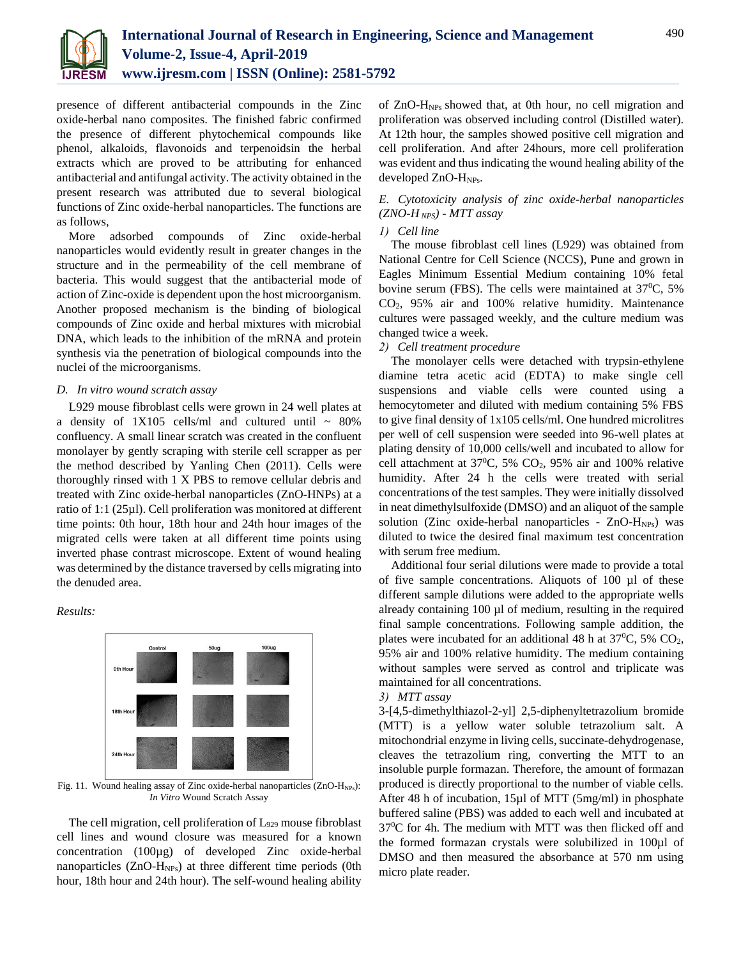

presence of different antibacterial compounds in the Zinc oxide-herbal nano composites. The finished fabric confirmed the presence of different phytochemical compounds like phenol, alkaloids, flavonoids and terpenoidsin the herbal extracts which are proved to be attributing for enhanced antibacterial and antifungal activity. The activity obtained in the present research was attributed due to several biological functions of Zinc oxide-herbal nanoparticles. The functions are as follows,

More adsorbed compounds of Zinc oxide-herbal nanoparticles would evidently result in greater changes in the structure and in the permeability of the cell membrane of bacteria. This would suggest that the antibacterial mode of action of Zinc-oxide is dependent upon the host microorganism. Another proposed mechanism is the binding of biological compounds of Zinc oxide and herbal mixtures with microbial DNA, which leads to the inhibition of the mRNA and protein synthesis via the penetration of biological compounds into the nuclei of the microorganisms.

#### *D. In vitro wound scratch assay*

L929 mouse fibroblast cells were grown in 24 well plates at a density of  $1X105$  cells/ml and cultured until  $\sim 80\%$ confluency. A small linear scratch was created in the confluent monolayer by gently scraping with sterile cell scrapper as per the method described by Yanling Chen (2011). Cells were thoroughly rinsed with 1 X PBS to remove cellular debris and treated with Zinc oxide-herbal nanoparticles (ZnO-HNPs) at a ratio of 1:1 (25µl). Cell proliferation was monitored at different time points: 0th hour, 18th hour and 24th hour images of the migrated cells were taken at all different time points using inverted phase contrast microscope. Extent of wound healing was determined by the distance traversed by cells migrating into the denuded area.

*Results:*



Fig. 11. Wound healing assay of Zinc oxide-herbal nanoparticles (ZnO-H<sub>NPs</sub>): *In Vitro* Wound Scratch Assay

The cell migration, cell proliferation of L<sup>929</sup> mouse fibroblast cell lines and wound closure was measured for a known concentration (100µg) of developed Zinc oxide-herbal nanoparticles (ZnO-H<sub>NPs</sub>) at three different time periods (0th hour, 18th hour and 24th hour). The self-wound healing ability of ZnO-HNPs showed that, at 0th hour, no cell migration and proliferation was observed including control (Distilled water). At 12th hour, the samples showed positive cell migration and cell proliferation. And after 24hours, more cell proliferation was evident and thus indicating the wound healing ability of the developed ZnO-HNPs.

# *E. Cytotoxicity analysis of zinc oxide-herbal nanoparticles (ZNO-H NPS) - MTT assay*

## *1) Cell line*

The mouse fibroblast cell lines (L929) was obtained from National Centre for Cell Science (NCCS), Pune and grown in Eagles Minimum Essential Medium containing 10% fetal bovine serum (FBS). The cells were maintained at  $37^{\circ}$ C, 5% CO2, 95% air and 100% relative humidity. Maintenance cultures were passaged weekly, and the culture medium was changed twice a week.

*2) Cell treatment procedure*

The monolayer cells were detached with trypsin-ethylene diamine tetra acetic acid (EDTA) to make single cell suspensions and viable cells were counted using a hemocytometer and diluted with medium containing 5% FBS to give final density of 1x105 cells/ml. One hundred microlitres per well of cell suspension were seeded into 96-well plates at plating density of 10,000 cells/well and incubated to allow for cell attachment at  $37^{\circ}$ C, 5% CO<sub>2</sub>, 95% air and 100% relative humidity. After 24 h the cells were treated with serial concentrations of the test samples. They were initially dissolved in neat dimethylsulfoxide (DMSO) and an aliquot of the sample solution (Zinc oxide-herbal nanoparticles -  $ZnO-H<sub>NPs</sub>$ ) was diluted to twice the desired final maximum test concentration with serum free medium.

Additional four serial dilutions were made to provide a total of five sample concentrations. Aliquots of 100 µl of these different sample dilutions were added to the appropriate wells already containing 100 µl of medium, resulting in the required final sample concentrations. Following sample addition, the plates were incubated for an additional 48 h at  $37^{\circ}$ C, 5% CO<sub>2</sub>, 95% air and 100% relative humidity. The medium containing without samples were served as control and triplicate was maintained for all concentrations.

## *3) MTT assay*

3-[4,5-dimethylthiazol-2-yl] 2,5-diphenyltetrazolium bromide (MTT) is a yellow water soluble tetrazolium salt. A mitochondrial enzyme in living cells, succinate-dehydrogenase, cleaves the tetrazolium ring, converting the MTT to an insoluble purple formazan. Therefore, the amount of formazan produced is directly proportional to the number of viable cells. After 48 h of incubation, 15µl of MTT (5mg/ml) in phosphate buffered saline (PBS) was added to each well and incubated at  $37^{\circ}$ C for 4h. The medium with MTT was then flicked off and the formed formazan crystals were solubilized in 100µl of DMSO and then measured the absorbance at 570 nm using micro plate reader.